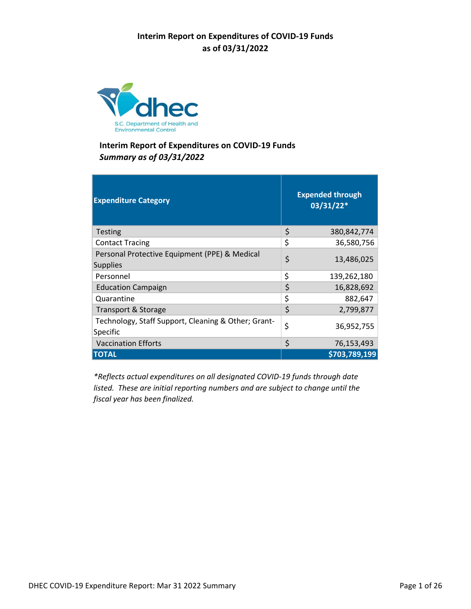

| <b>Expenditure Category</b>                                      | <b>Expended through</b><br>03/31/22* |
|------------------------------------------------------------------|--------------------------------------|
| Testing                                                          | \$<br>380,842,774                    |
| <b>Contact Tracing</b>                                           | \$<br>36,580,756                     |
| Personal Protective Equipment (PPE) & Medical<br><b>Supplies</b> | \$<br>13,486,025                     |
| Personnel                                                        | \$<br>139,262,180                    |
| <b>Education Campaign</b>                                        | \$<br>16,828,692                     |
| Quarantine                                                       | \$<br>882,647                        |
| Transport & Storage                                              | \$<br>2,799,877                      |
| Technology, Staff Support, Cleaning & Other; Grant-<br>Specific  | \$<br>36,952,755                     |
| <b>Vaccination Efforts</b>                                       | \$<br>76,153,493                     |
| <b>TOTAL</b>                                                     | \$703,789,199                        |

*\*Reflects actual expenditures on all designated COVID‐19 funds through date listed. These are initial reporting numbers and are subject to change until the fiscal year has been finalized.*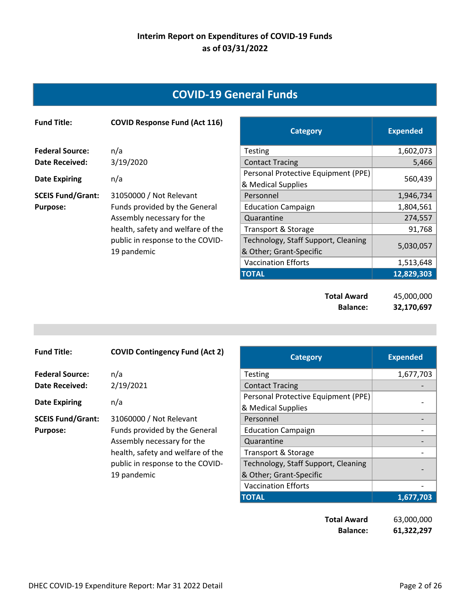## **COVID‐19 General Funds**

| <b>Fund Title:</b>       | <b>COVID Response Fund (Act 116)</b> | <b>Category</b>                     | <b>Expended</b> |
|--------------------------|--------------------------------------|-------------------------------------|-----------------|
| <b>Federal Source:</b>   | n/a                                  | <b>Testing</b>                      | 1,602,073       |
| Date Received:           | 3/19/2020                            | <b>Contact Tracing</b>              | 5,466           |
| <b>Date Expiring</b>     | n/a                                  | Personal Protective Equipment (PPE) | 560,439         |
|                          |                                      | & Medical Supplies                  |                 |
| <b>SCEIS Fund/Grant:</b> | 31050000 / Not Relevant              | Personnel                           | 1,946,734       |
| <b>Purpose:</b>          | Funds provided by the General        | <b>Education Campaign</b>           | 1,804,561       |
|                          | Assembly necessary for the           | Quarantine                          | 274,557         |
|                          | health, safety and welfare of the    | Transport & Storage                 | 91,768          |
|                          | public in response to the COVID-     | Technology, Staff Support, Cleaning | 5,030,057       |
|                          | 19 pandemic                          | & Other; Grant-Specific             |                 |
|                          |                                      | <b>Vaccination Efforts</b>          | 1,513,648       |
|                          |                                      | <b>TOTAL</b>                        | 12,829,303      |

**Total Award** 45,000,000 **Balance: 32,170,697** 

| <b>Fund Title:</b>       | <b>COVID Contingency Fund (Act 2)</b> | <b>Category</b>                     | <b>Expended</b> |
|--------------------------|---------------------------------------|-------------------------------------|-----------------|
| <b>Federal Source:</b>   | n/a                                   | <b>Testing</b>                      | 1,677,703       |
| Date Received:           | 2/19/2021                             | <b>Contact Tracing</b>              |                 |
|                          | n/a                                   | Personal Protective Equipment (PPE) |                 |
| <b>Date Expiring</b>     |                                       | & Medical Supplies                  |                 |
| <b>SCEIS Fund/Grant:</b> | 31060000 / Not Relevant               | Personnel                           |                 |
| <b>Purpose:</b>          | Funds provided by the General         | <b>Education Campaign</b>           |                 |
|                          | Assembly necessary for the            | Quarantine                          |                 |
|                          | health, safety and welfare of the     | <b>Transport &amp; Storage</b>      |                 |
|                          | public in response to the COVID-      | Technology, Staff Support, Cleaning |                 |
|                          | 19 pandemic                           | & Other; Grant-Specific             |                 |
|                          |                                       | <b>Vaccination Efforts</b>          |                 |
|                          |                                       | <b>TOTAL</b>                        | 1,677,703       |

**Total Award** 63,000,000 **Balance: 61,322,297**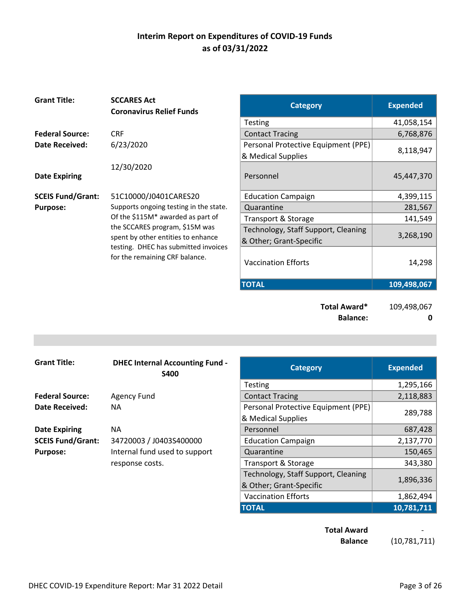| 41,058,154<br><b>Testing</b><br><b>Federal Source:</b><br><b>CRF</b><br>6,768,876<br><b>Contact Tracing</b><br>6/23/2020<br>Personal Protective Equipment (PPE)<br><b>Date Received:</b><br>8,118,947<br>& Medical Supplies<br>12/30/2020<br>Personnel<br>45,447,370<br><b>Date Expiring</b><br>4,399,115<br>51C10000/J0401CARES20<br><b>Education Campaign</b><br>Supports ongoing testing in the state.<br>281,567<br>Quarantine<br><b>Purpose:</b><br>Of the \$115M* awarded as part of<br>141,549<br>Transport & Storage<br>the SCCARES program, \$15M was<br>Technology, Staff Support, Cleaning<br>3,268,190<br>spent by other entities to enhance<br>& Other; Grant-Specific<br>testing. DHEC has submitted invoices<br>for the remaining CRF balance.<br>14,298<br><b>Vaccination Efforts</b><br><b>TOTAL</b><br>109,498,067 | <b>Grant Title:</b>      | <b>SCCARES Act</b><br><b>Coronavirus Relief Funds</b> | <b>Category</b> | <b>Expended</b> |
|--------------------------------------------------------------------------------------------------------------------------------------------------------------------------------------------------------------------------------------------------------------------------------------------------------------------------------------------------------------------------------------------------------------------------------------------------------------------------------------------------------------------------------------------------------------------------------------------------------------------------------------------------------------------------------------------------------------------------------------------------------------------------------------------------------------------------------------|--------------------------|-------------------------------------------------------|-----------------|-----------------|
|                                                                                                                                                                                                                                                                                                                                                                                                                                                                                                                                                                                                                                                                                                                                                                                                                                      |                          |                                                       |                 |                 |
|                                                                                                                                                                                                                                                                                                                                                                                                                                                                                                                                                                                                                                                                                                                                                                                                                                      |                          |                                                       |                 |                 |
|                                                                                                                                                                                                                                                                                                                                                                                                                                                                                                                                                                                                                                                                                                                                                                                                                                      |                          |                                                       |                 |                 |
|                                                                                                                                                                                                                                                                                                                                                                                                                                                                                                                                                                                                                                                                                                                                                                                                                                      |                          |                                                       |                 |                 |
|                                                                                                                                                                                                                                                                                                                                                                                                                                                                                                                                                                                                                                                                                                                                                                                                                                      | <b>SCEIS Fund/Grant:</b> |                                                       |                 |                 |
|                                                                                                                                                                                                                                                                                                                                                                                                                                                                                                                                                                                                                                                                                                                                                                                                                                      |                          |                                                       |                 |                 |
|                                                                                                                                                                                                                                                                                                                                                                                                                                                                                                                                                                                                                                                                                                                                                                                                                                      |                          |                                                       |                 |                 |
|                                                                                                                                                                                                                                                                                                                                                                                                                                                                                                                                                                                                                                                                                                                                                                                                                                      |                          |                                                       |                 |                 |
|                                                                                                                                                                                                                                                                                                                                                                                                                                                                                                                                                                                                                                                                                                                                                                                                                                      |                          |                                                       |                 |                 |
|                                                                                                                                                                                                                                                                                                                                                                                                                                                                                                                                                                                                                                                                                                                                                                                                                                      |                          |                                                       |                 |                 |

**Total Award\*** 109,498,067 **Balance:** 0

| <b>Grant Title:</b>      | <b>DHEC Internal Accounting Fund -</b><br><b>S400</b> | <b>Category</b>                     | <b>Expended</b> |
|--------------------------|-------------------------------------------------------|-------------------------------------|-----------------|
|                          |                                                       | <b>Testing</b>                      | 1,295,166       |
| <b>Federal Source:</b>   | <b>Agency Fund</b>                                    | <b>Contact Tracing</b>              | 2,118,883       |
| Date Received:           | NA.                                                   | Personal Protective Equipment (PPE) |                 |
|                          |                                                       | & Medical Supplies                  | 289,788         |
| <b>Date Expiring</b>     | NA                                                    | Personnel                           | 687,428         |
| <b>SCEIS Fund/Grant:</b> | 34720003 / J0403S400000                               | <b>Education Campaign</b>           | 2,137,770       |
| <b>Purpose:</b>          | Internal fund used to support                         | Quarantine                          | 150,465         |
|                          | response costs.                                       | Transport & Storage                 | 343,380         |
|                          |                                                       | Technology, Staff Support, Cleaning |                 |
|                          |                                                       | 0. Othor: Crant Cnocific            | 1,896,336       |

| <b>Accounting Fund -</b><br>S400 | <b>Category</b>                     | <b>Expended</b> |
|----------------------------------|-------------------------------------|-----------------|
|                                  | <b>Testing</b>                      | 1,295,166       |
|                                  | <b>Contact Tracing</b>              | 2,118,883       |
|                                  | Personal Protective Equipment (PPE) | 289,788         |
|                                  | & Medical Supplies                  |                 |
|                                  | Personnel                           | 687,428         |
| 103S400000                       | <b>Education Campaign</b>           | 2,137,770       |
| sed to support                   | Quarantine                          | 150,465         |
|                                  | Transport & Storage                 | 343,380         |
|                                  | Technology, Staff Support, Cleaning |                 |
|                                  | & Other; Grant-Specific             | 1,896,336       |
|                                  | <b>Vaccination Efforts</b>          | 1,862,494       |
|                                  | <b>TOTAL</b>                        | 10,781,711      |

**Total Award** 

**Balance** (10,781,711)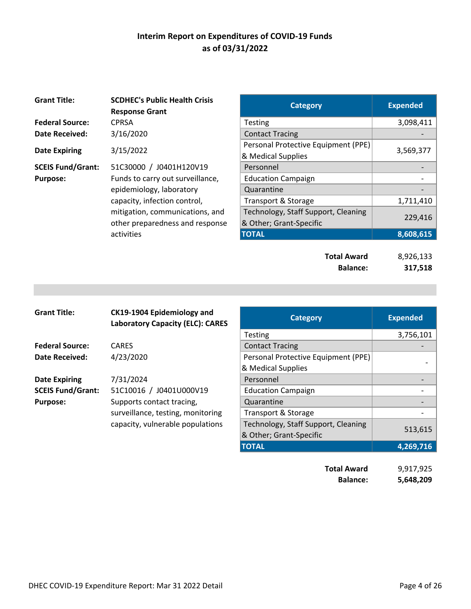| <b>Grant Title:</b>      | <b>SCDHEC's Public Health Crisis</b><br><b>Response Grant</b> | <b>Category</b>                     | <b>Expended</b> |
|--------------------------|---------------------------------------------------------------|-------------------------------------|-----------------|
| <b>Federal Source:</b>   | <b>CPRSA</b>                                                  | <b>Testing</b>                      | 3,098,411       |
| Date Received:           | 3/16/2020                                                     | <b>Contact Tracing</b>              |                 |
|                          |                                                               | Personal Protective Equipment (PPE) |                 |
| <b>Date Expiring</b>     | 3/15/2022                                                     | & Medical Supplies                  | 3,569,377       |
| <b>SCEIS Fund/Grant:</b> | 51C30000 / J0401H120V19                                       | Personnel                           |                 |
| <b>Purpose:</b>          | Funds to carry out surveillance,                              | <b>Education Campaign</b>           |                 |
|                          | epidemiology, laboratory                                      | Quarantine                          |                 |
|                          | capacity, infection control,                                  | Transport & Storage                 | 1,711,410       |
|                          | mitigation, communications, and                               | Technology, Staff Support, Cleaning | 229,416         |
|                          | other preparedness and response                               | & Other; Grant-Specific             |                 |
|                          | activities                                                    | <b>TOTAL</b>                        | 8,608,615       |

| <b>SCDHEC's Public Health Crisis</b><br><b>Response Grant</b> | <b>Category</b>                     | <b>Expended</b> |
|---------------------------------------------------------------|-------------------------------------|-----------------|
| CPRSA                                                         | <b>Testing</b>                      | 3,098,411       |
| 3/16/2020                                                     | <b>Contact Tracing</b>              |                 |
| 3/15/2022                                                     | Personal Protective Equipment (PPE) | 3,569,377       |
|                                                               | & Medical Supplies                  |                 |
| 51C30000 / J0401H120V19                                       | Personnel                           |                 |
| Funds to carry out surveillance,                              | <b>Education Campaign</b>           |                 |
| epidemiology, laboratory                                      | Quarantine                          |                 |
| capacity, infection control,                                  | Transport & Storage                 | 1,711,410       |
| mitigation, communications, and                               | Technology, Staff Support, Cleaning | 229,416         |
| other preparedness and response                               | & Other; Grant-Specific             |                 |
| activities                                                    | TOTAL                               | 8,608,615       |
|                                                               |                                     |                 |

| <b>Total Award</b> | 8,926,133 |
|--------------------|-----------|
| <b>Balance:</b>    | 317,518   |

| <b>Grant Title:</b>      | CK19-1904 Epidemiology and<br><b>Laboratory Capacity (ELC): CARES</b> | <b>Category</b>                     | <b>Expended</b> |
|--------------------------|-----------------------------------------------------------------------|-------------------------------------|-----------------|
|                          |                                                                       | <b>Testing</b>                      | 3,756,1         |
| <b>Federal Source:</b>   | <b>CARES</b>                                                          | <b>Contact Tracing</b>              |                 |
| <b>Date Received:</b>    | 4/23/2020                                                             | Personal Protective Equipment (PPE) |                 |
|                          |                                                                       | & Medical Supplies                  |                 |
| <b>Date Expiring</b>     | 7/31/2024                                                             | Personnel                           |                 |
| <b>SCEIS Fund/Grant:</b> | 51C10016 / J0401U000V19                                               | <b>Education Campaign</b>           |                 |
| <b>Purpose:</b>          | Supports contact tracing,                                             | Quarantine                          |                 |
|                          | surveillance, testing, monitoring                                     | <b>Transport &amp; Storage</b>      |                 |
|                          | capacity, vulnerable populations                                      | Technology, Staff Support, Cleaning |                 |
|                          |                                                                       | & Other; Grant-Specific             | 513,6           |
|                          |                                                                       |                                     |                 |

| CK19-1904 Epidemiology and<br><b>Laboratory Capacity (ELC): CARES</b> | <b>Category</b>                     | <b>Expended</b> |
|-----------------------------------------------------------------------|-------------------------------------|-----------------|
|                                                                       | <b>Testing</b>                      | 3,756,101       |
| CARES                                                                 | <b>Contact Tracing</b>              |                 |
| 4/23/2020                                                             | Personal Protective Equipment (PPE) |                 |
|                                                                       | & Medical Supplies                  |                 |
| 7/31/2024                                                             | Personnel                           |                 |
| 51C10016 / J0401U000V19                                               | <b>Education Campaign</b>           |                 |
| Supports contact tracing,                                             | Quarantine                          |                 |
| surveillance, testing, monitoring                                     | <b>Transport &amp; Storage</b>      |                 |
| capacity, vulnerable populations                                      | Technology, Staff Support, Cleaning |                 |
|                                                                       | & Other; Grant-Specific             | 513,615         |
|                                                                       | <b>TOTAL</b>                        | 4,269,716       |
|                                                                       | <b>Total Award</b>                  | 9,917,925       |
|                                                                       |                                     |                 |

**Balance: 5,648,209**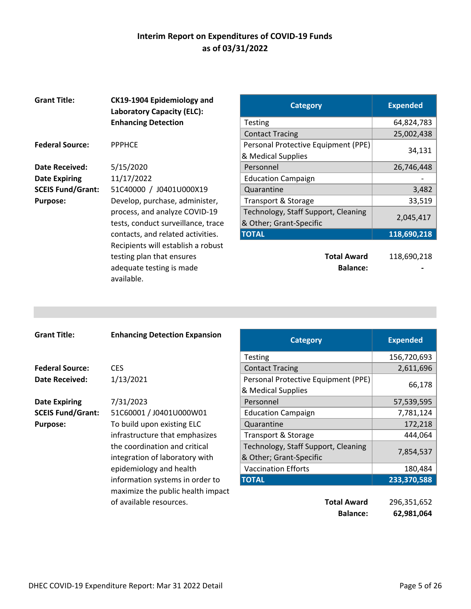| <b>Grant Title:</b>      | CK19-1904 Epidemiology and<br><b>Laboratory Capacity (ELC):</b> | <b>Category</b>                     | <b>Expended</b> |
|--------------------------|-----------------------------------------------------------------|-------------------------------------|-----------------|
|                          | <b>Enhancing Detection</b>                                      | <b>Testing</b>                      | 64,824,783      |
|                          |                                                                 | <b>Contact Tracing</b>              | 25,002,438      |
| <b>Federal Source:</b>   | <b>PPPHCE</b>                                                   | Personal Protective Equipment (PPE) |                 |
|                          |                                                                 | & Medical Supplies                  | 34,131          |
| Date Received:           | 5/15/2020                                                       | Personnel                           | 26,746,448      |
| <b>Date Expiring</b>     | 11/17/2022                                                      | <b>Education Campaign</b>           |                 |
| <b>SCEIS Fund/Grant:</b> | 51C40000 / J0401U000X19                                         | Quarantine                          | 3,482           |
| <b>Purpose:</b>          | Develop, purchase, administer,                                  | Transport & Storage                 | 33,519          |
|                          | process, and analyze COVID-19                                   | Technology, Staff Support, Cleaning |                 |
|                          | tests, conduct surveillance, trace                              | & Other; Grant-Specific             | 2,045,417       |
|                          | contacts, and related activities.                               | <b>TOTAL</b>                        | 118,690,218     |
|                          | Recipients will establish a robust                              |                                     |                 |
|                          | testing plan that ensures                                       | <b>Total Award</b>                  | 118,690,218     |
|                          | adequate testing is made                                        | <b>Balance:</b>                     |                 |
|                          | available.                                                      |                                     |                 |

| <b>Category</b>                                                | <b>Expended</b> |
|----------------------------------------------------------------|-----------------|
| <b>Testing</b>                                                 | 64,824,783      |
| <b>Contact Tracing</b>                                         | 25,002,438      |
| Personal Protective Equipment (PPE)<br>& Medical Supplies      | 34,131          |
| Personnel                                                      | 26,746,448      |
| <b>Education Campaign</b>                                      |                 |
| Quarantine                                                     | 3,482           |
| Transport & Storage                                            | 33,519          |
| Technology, Staff Support, Cleaning<br>& Other; Grant-Specific | 2,045,417       |
| <b>TOTAL</b>                                                   | 118,690,218     |

| <b>Grant Title:</b>      | <b>Enhancing Detection Expansion</b> | <b>Category</b>                     | <b>Expended</b> |
|--------------------------|--------------------------------------|-------------------------------------|-----------------|
|                          |                                      | <b>Testing</b>                      | 156,720,693     |
| <b>Federal Source:</b>   | CES                                  | <b>Contact Tracing</b>              | 2,611,696       |
| Date Received:           | 1/13/2021                            | Personal Protective Equipment (PPE) |                 |
|                          |                                      | & Medical Supplies                  | 66,178          |
| <b>Date Expiring</b>     | 7/31/2023                            | Personnel                           | 57,539,595      |
| <b>SCEIS Fund/Grant:</b> | 51C60001 / J0401U000W01              | <b>Education Campaign</b>           | 7,781,124       |
| <b>Purpose:</b>          | To build upon existing ELC           | Quarantine                          | 172,218         |
|                          | infrastructure that emphasizes       | Transport & Storage                 | 444,064         |
|                          | the coordination and critical        | Technology, Staff Support, Cleaning |                 |
|                          | integration of laboratory with       | & Other; Grant-Specific             | 7,854,537       |
|                          | epidemiology and health              | <b>Vaccination Efforts</b>          | 180,484         |
|                          | information systems in order to      | <b>TOTAL</b>                        | 233,370,588     |
|                          | maximize the public health impact    |                                     |                 |
|                          | of available resources.              | <b>Total Award</b>                  | 296,351,652     |
|                          |                                      | <b>Balance:</b>                     | 62,981,064      |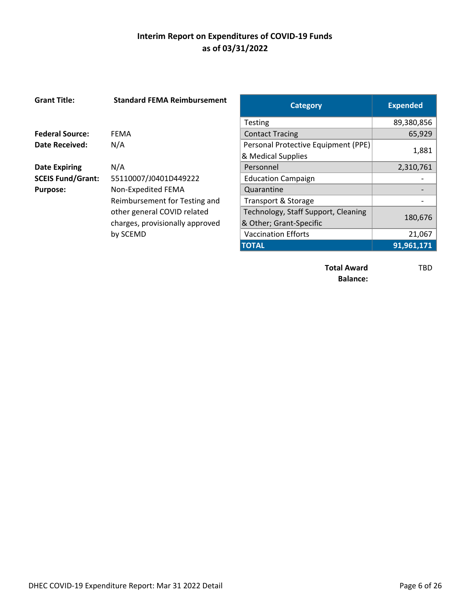| <b>Grant Title:</b>      | <b>Standard FEMA Reimbursement</b> | <b>Category</b>                     | <b>Expended</b> |
|--------------------------|------------------------------------|-------------------------------------|-----------------|
|                          |                                    | <b>Testing</b>                      | 89,380,856      |
| <b>Federal Source:</b>   | <b>FEMA</b>                        | <b>Contact Tracing</b>              | 65,929          |
| <b>Date Received:</b>    | N/A                                | Personal Protective Equipment (PPE) |                 |
|                          |                                    | & Medical Supplies                  | 1,881           |
| <b>Date Expiring</b>     | N/A                                | Personnel                           | 2,310,761       |
| <b>SCEIS Fund/Grant:</b> | 55110007/J0401D449222              | <b>Education Campaign</b>           |                 |
| <b>Purpose:</b>          | Non-Expedited FEMA                 | Quarantine                          |                 |
|                          | Reimbursement for Testing and      | Transport & Storage                 |                 |
|                          | other general COVID related        | Technology, Staff Support, Cleaning | 180,676         |
|                          | charges, provisionally approved    | & Other; Grant-Specific             |                 |
|                          | by SCEMD                           | <b>Vaccination Efforts</b>          | 21,067          |
|                          |                                    | -----                               |                 |

| <b>Standard FEMA Reimbursement</b> | <b>Category</b>                     | <b>Expended</b> |
|------------------------------------|-------------------------------------|-----------------|
|                                    | <b>Testing</b>                      | 89,380,856      |
| EMA                                | <b>Contact Tracing</b>              | 65,929          |
| ۱/A                                | Personal Protective Equipment (PPE) |                 |
|                                    | & Medical Supplies                  | 1,881           |
| ۱/A                                | Personnel                           | 2,310,761       |
| 5110007/J0401D449222               | <b>Education Campaign</b>           |                 |
| <b>Jon-Expedited FEMA</b>          | Quarantine                          |                 |
| eimbursement for Testing and       | Transport & Storage                 |                 |
| ther general COVID related         | Technology, Staff Support, Cleaning |                 |
| harges, provisionally approved     | & Other; Grant-Specific             | 180,676         |
| y SCEMD                            | <b>Vaccination Efforts</b>          | 21,067          |
|                                    | <b>TOTAL</b>                        | 91,961,171      |
|                                    |                                     |                 |

**Total Award** TBD **Balance:**

DHEC COVID-19 Expenditure Report: Mar 31 2022 Detail **Page 6 of 26** Page 6 of 26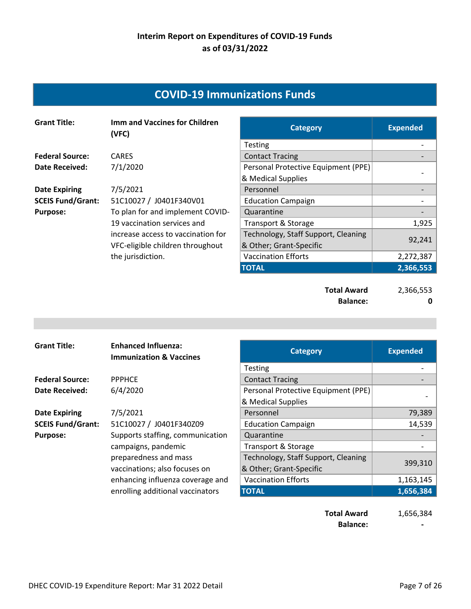## **COVID‐19 Immunizations Funds**

| <b>Grant Title:</b>      | <b>Imm and Vaccines for Children</b><br>(VFC) | <b>Category</b>                     | <b>Expended</b> |
|--------------------------|-----------------------------------------------|-------------------------------------|-----------------|
|                          |                                               | <b>Testing</b>                      |                 |
| <b>Federal Source:</b>   | <b>CARES</b>                                  | <b>Contact Tracing</b>              |                 |
| <b>Date Received:</b>    | 7/1/2020                                      | Personal Protective Equipment (PPE) |                 |
|                          |                                               | & Medical Supplies                  |                 |
| <b>Date Expiring</b>     | 7/5/2021                                      | Personnel                           |                 |
| <b>SCEIS Fund/Grant:</b> | 51C10027 / J0401F340V01                       | <b>Education Campaign</b>           |                 |
| <b>Purpose:</b>          | To plan for and implement COVID-              | Quarantine                          |                 |
|                          | 19 vaccination services and                   | Transport & Storage                 | 1,925           |
|                          | increase access to vaccination for            | Technology, Staff Support, Cleaning |                 |
|                          | VFC-eligible children throughout              | & Other; Grant-Specific             | 92,241          |
|                          | the jurisdiction.                             | <b>Vaccination Efforts</b>          | 2,272,387       |
|                          |                                               | <b>TOTAL</b>                        | 2,366,553       |
|                          |                                               |                                     |                 |

**Total Award** 2,366,553 **Balance:** 0

| <b>Grant Title:</b>      | <b>Enhanced Influenza:</b><br><b>Immunization &amp; Vaccines</b> | <b>Category</b>                     | <b>Expended</b> |
|--------------------------|------------------------------------------------------------------|-------------------------------------|-----------------|
|                          |                                                                  | <b>Testing</b>                      |                 |
| <b>Federal Source:</b>   | <b>PPPHCE</b>                                                    | <b>Contact Tracing</b>              |                 |
| Date Received:           | 6/4/2020                                                         | Personal Protective Equipment (PPE) |                 |
|                          |                                                                  | & Medical Supplies                  |                 |
| <b>Date Expiring</b>     | 7/5/2021                                                         | Personnel                           | 79,389          |
| <b>SCEIS Fund/Grant:</b> | 51C10027 / J0401F340Z09                                          | <b>Education Campaign</b>           | 14,539          |
| <b>Purpose:</b>          | Supports staffing, communication                                 | Quarantine                          |                 |
|                          | campaigns, pandemic                                              | Transport & Storage                 |                 |
|                          | preparedness and mass                                            | Technology, Staff Support, Cleaning |                 |
|                          | vaccinations; also focuses on                                    | & Other; Grant-Specific             | 399,310         |
|                          | enhancing influenza coverage and                                 | <b>Vaccination Efforts</b>          | 1,163,145       |
|                          | enrolling additional vaccinators                                 | <b>TOTAL</b>                        | 1,656,384       |
|                          |                                                                  |                                     |                 |

**Total Award** 1,656,384 **Balance: 1999**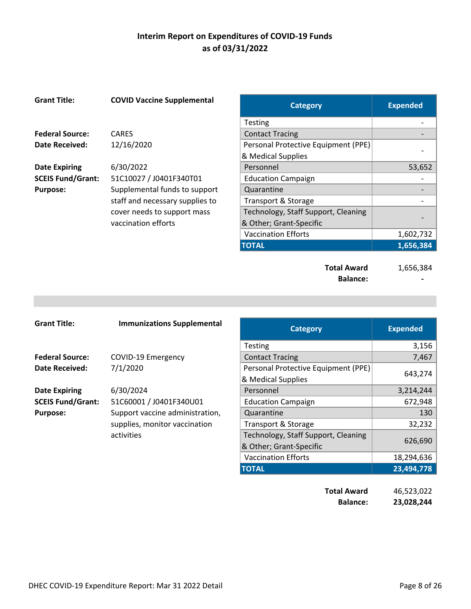| <b>Grant Title:</b>      | <b>COVID Vaccine Supplemental</b> | <b>Category</b>                     | <b>Expended</b> |
|--------------------------|-----------------------------------|-------------------------------------|-----------------|
|                          |                                   | <b>Testing</b>                      |                 |
| <b>Federal Source:</b>   | <b>CARES</b>                      | <b>Contact Tracing</b>              |                 |
| Date Received:           | 12/16/2020                        | Personal Protective Equipment (PPE) |                 |
|                          |                                   | & Medical Supplies                  |                 |
| <b>Date Expiring</b>     | 6/30/2022                         | Personnel                           | 53,652          |
| <b>SCEIS Fund/Grant:</b> | 51C10027 / J0401F340T01           | <b>Education Campaign</b>           |                 |
| <b>Purpose:</b>          | Supplemental funds to support     | Quarantine                          |                 |
|                          | staff and necessary supplies to   | Transport & Storage                 |                 |
|                          | cover needs to support mass       | Technology, Staff Support, Cleaning |                 |
|                          | vaccination efforts               | & Other; Grant-Specific             |                 |
|                          |                                   | <b>Vaccination Efforts</b>          | 1,602,732       |
|                          |                                   | <b>TOTAL</b>                        | 1,656,384       |
|                          |                                   |                                     |                 |

**Total Award** 1,656,384 **Balance: ‐** 

| <b>Grant Title:</b>      | <b>Immunizations Supplemental</b> | <b>Category</b>                     | <b>Expended</b> |
|--------------------------|-----------------------------------|-------------------------------------|-----------------|
|                          |                                   | <b>Testing</b>                      | 3,156           |
| <b>Federal Source:</b>   | COVID-19 Emergency                | <b>Contact Tracing</b>              | 7,467           |
| <b>Date Received:</b>    | 7/1/2020                          | Personal Protective Equipment (PPE) |                 |
|                          |                                   | & Medical Supplies                  | 643,274         |
| <b>Date Expiring</b>     | 6/30/2024                         | Personnel                           | 3,214,244       |
| <b>SCEIS Fund/Grant:</b> | 51C60001 / J0401F340U01           | <b>Education Campaign</b>           | 672,948         |
| <b>Purpose:</b>          | Support vaccine administration,   | Quarantine                          | 130             |
|                          | supplies, monitor vaccination     | Transport & Storage                 | 32,232          |
|                          | activities                        | Technology, Staff Support, Cleaning |                 |
|                          |                                   | & Other; Grant-Specific             | 626,690         |
|                          |                                   | <b>Vaccination Efforts</b>          | 18,294,636      |
|                          |                                   | <b>TOTAL</b>                        | 23,494,778      |

| <b>Total Award</b> | 46,523,022 |
|--------------------|------------|
| <b>Balance:</b>    | 23,028,244 |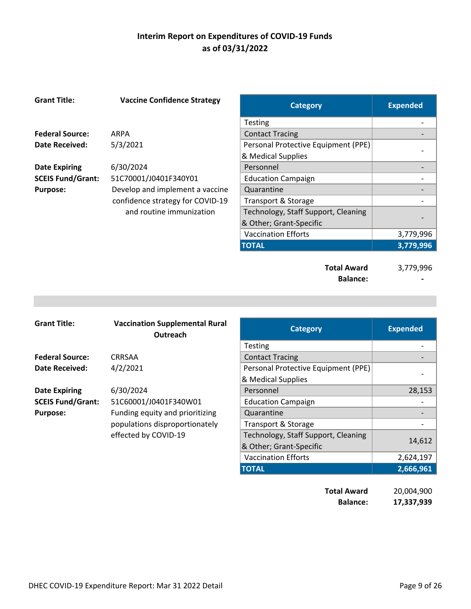| <b>Grant Title:</b>      | <b>Vaccine Confidence Strategy</b> | <b>Category</b>                     | <b>Expended</b> |
|--------------------------|------------------------------------|-------------------------------------|-----------------|
|                          |                                    | <b>Testing</b>                      |                 |
| <b>Federal Source:</b>   | ARPA                               | <b>Contact Tracing</b>              |                 |
| <b>Date Received:</b>    | 5/3/2021                           | Personal Protective Equipment (PPE) |                 |
|                          |                                    | & Medical Supplies                  |                 |
| <b>Date Expiring</b>     | 6/30/2024                          | Personnel                           |                 |
| <b>SCEIS Fund/Grant:</b> | 51C70001/J0401F340Y01              | <b>Education Campaign</b>           |                 |
| <b>Purpose:</b>          | Develop and implement a vaccine    | Quarantine                          |                 |
|                          | confidence strategy for COVID-19   | Transport & Storage                 |                 |
|                          | and routine immunization           | Technology, Staff Support, Cleaning |                 |
|                          |                                    | & Other; Grant-Specific             |                 |
|                          |                                    | <b>Vaccination Efforts</b>          | 3,779,996       |
|                          |                                    | <b>TOTAL</b>                        | 3,779,996       |
|                          |                                    |                                     |                 |
|                          |                                    | <b>Total Award</b>                  | 3,779,996       |
|                          |                                    | <b>Balance:</b>                     |                 |

| <b>Grant Title:</b>      | <b>Vaccination Supplemental Rural</b><br>Outreach | <b>Category</b>                     | <b>Expended</b> |
|--------------------------|---------------------------------------------------|-------------------------------------|-----------------|
|                          |                                                   | <b>Testing</b>                      |                 |
| <b>Federal Source:</b>   | CRRSAA                                            | <b>Contact Tracing</b>              |                 |
| Date Received:           | 4/2/2021                                          | Personal Protective Equipment (PPE) |                 |
|                          |                                                   | & Medical Supplies                  |                 |
| <b>Date Expiring</b>     | 6/30/2024                                         | Personnel                           | 28,153          |
| <b>SCEIS Fund/Grant:</b> | 51C60001/J0401F340W01                             | <b>Education Campaign</b>           |                 |
| <b>Purpose:</b>          | Funding equity and prioritizing                   | Quarantine                          |                 |
|                          | populations disproportionately                    | Transport & Storage                 |                 |
|                          | effected by COVID-19                              | Technology, Staff Support, Cleaning |                 |
|                          |                                                   | & Other; Grant-Specific             | 14,612          |
|                          |                                                   | <b>Vaccination Efforts</b>          | 2,624,197       |
|                          |                                                   | <b>TOTAL</b>                        | 2,666,961       |

**Total Award** 20,004,900 **Balance: 17,337,939**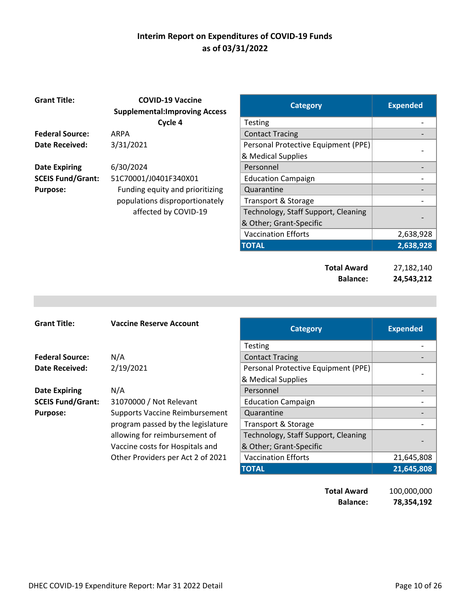| <b>Grant Title:</b>      | <b>COVID-19 Vaccine</b><br><b>Supplemental: Improving Access</b> | <b>Category</b>                     | <b>Expended</b> |
|--------------------------|------------------------------------------------------------------|-------------------------------------|-----------------|
|                          | Cycle 4                                                          | Testing                             |                 |
| <b>Federal Source:</b>   | <b>ARPA</b>                                                      | <b>Contact Tracing</b>              |                 |
| <b>Date Received:</b>    | 3/31/2021                                                        | Personal Protective Equipment (PPE) |                 |
|                          |                                                                  | & Medical Supplies                  |                 |
| <b>Date Expiring</b>     | 6/30/2024                                                        | Personnel                           |                 |
| <b>SCEIS Fund/Grant:</b> | 51C70001/J0401F340X01                                            | <b>Education Campaign</b>           |                 |
| <b>Purpose:</b>          | Funding equity and prioritizing                                  | Quarantine                          |                 |
|                          | populations disproportionately                                   | Transport & Storage                 |                 |
|                          | affected by COVID-19                                             | Technology, Staff Support, Cleaning |                 |
|                          |                                                                  | & Other; Grant-Specific             |                 |
|                          |                                                                  |                                     |                 |

| <b>Category</b>                     | <b>Expended</b> |
|-------------------------------------|-----------------|
| Testing                             |                 |
| <b>Contact Tracing</b>              |                 |
| Personal Protective Equipment (PPE) |                 |
| & Medical Supplies                  |                 |
| Personnel                           |                 |
| <b>Education Campaign</b>           |                 |
| Quarantine                          |                 |
| Transport & Storage                 |                 |
| Technology, Staff Support, Cleaning |                 |
| & Other; Grant-Specific             |                 |
| <b>Vaccination Efforts</b>          | 2,638,928       |
| <b>TOTAL</b>                        | 2,638,928       |
|                                     |                 |
| <b>Total Award</b>                  | 27,182,140      |

**Balance: 24,543,212** 

| <b>Grant Title:</b>      | <b>Vaccine Reserve Account</b>        | <b>Category</b>                     | <b>Expended</b> |
|--------------------------|---------------------------------------|-------------------------------------|-----------------|
|                          |                                       | <b>Testing</b>                      |                 |
| <b>Federal Source:</b>   | N/A                                   | <b>Contact Tracing</b>              |                 |
| <b>Date Received:</b>    | 2/19/2021                             | Personal Protective Equipment (PPE) |                 |
|                          |                                       | & Medical Supplies                  |                 |
| <b>Date Expiring</b>     | N/A                                   | Personnel                           |                 |
| <b>SCEIS Fund/Grant:</b> | 31070000 / Not Relevant               | <b>Education Campaign</b>           |                 |
| <b>Purpose:</b>          | <b>Supports Vaccine Reimbursement</b> | Quarantine                          |                 |
|                          | program passed by the legislature     | <b>Transport &amp; Storage</b>      |                 |
|                          | allowing for reimbursement of         | Technology, Staff Support, Cleaning |                 |
|                          | Vaccine costs for Hospitals and       | & Other; Grant-Specific             |                 |
|                          | Other Providers per Act 2 of 2021     | <b>Vaccination Efforts</b>          | 21,645,808      |
|                          |                                       | <b>TOTAL</b>                        | 21,645,808      |

**Total Award** 100,000,000 **Balance: 78,354,192**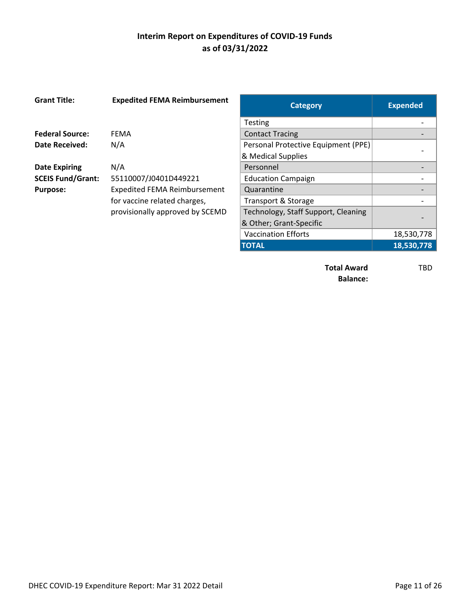| <b>Grant Title:</b>      | <b>Expedited FEMA Reimbursement</b> | <b>Category</b>                     | <b>Expended</b> |
|--------------------------|-------------------------------------|-------------------------------------|-----------------|
|                          |                                     | <b>Testing</b>                      |                 |
| <b>Federal Source:</b>   | <b>FEMA</b>                         | <b>Contact Tracing</b>              |                 |
| Date Received:           | N/A                                 | Personal Protective Equipment (PPE) |                 |
|                          |                                     | & Medical Supplies                  |                 |
| <b>Date Expiring</b>     | N/A                                 | Personnel                           |                 |
| <b>SCEIS Fund/Grant:</b> | 55110007/J0401D449221               | <b>Education Campaign</b>           |                 |
| <b>Purpose:</b>          | <b>Expedited FEMA Reimbursement</b> | Quarantine                          |                 |
|                          | for vaccine related charges,        | Transport & Storage                 |                 |
|                          | provisionally approved by SCEMD     | Technology, Staff Support, Cleaning |                 |
|                          |                                     | & Other; Grant-Specific             |                 |
|                          |                                     | <b>Vaccination Efforts</b>          | 18,530,7        |
|                          |                                     | -----                               | $\cdots$        |

| <b>Category</b>                     | <b>Expended</b> |
|-------------------------------------|-----------------|
| Testing                             |                 |
| <b>Contact Tracing</b>              |                 |
| Personal Protective Equipment (PPE) |                 |
| & Medical Supplies                  |                 |
| Personnel                           |                 |
| <b>Education Campaign</b>           |                 |
| Quarantine                          |                 |
| Transport & Storage                 |                 |
| Technology, Staff Support, Cleaning |                 |
| & Other; Grant-Specific             |                 |
| <b>Vaccination Efforts</b>          | 18,530,778      |
| <b>TOTAL</b>                        | 18,530,778      |
|                                     |                 |

**Total Award** TBD **Balance:**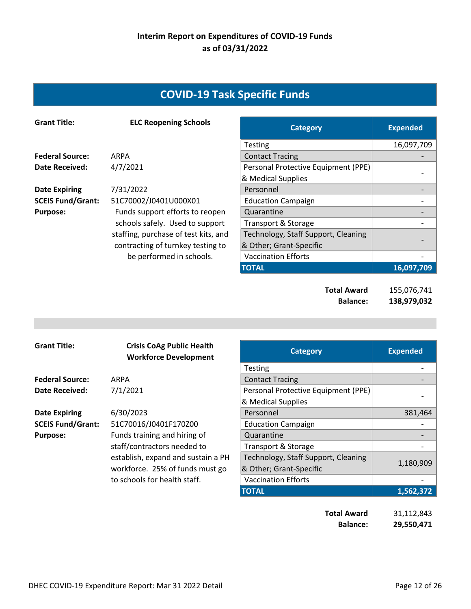# **COVID‐19 Task Specific Funds**

| <b>Grant Title:</b>      | <b>ELC Reopening Schools</b>         | <b>Category</b>                     | <b>Expended</b> |
|--------------------------|--------------------------------------|-------------------------------------|-----------------|
|                          |                                      | <b>Testing</b>                      | 16,097,709      |
| <b>Federal Source:</b>   | ARPA                                 | <b>Contact Tracing</b>              |                 |
| <b>Date Received:</b>    | 4/7/2021                             | Personal Protective Equipment (PPE) |                 |
|                          |                                      | & Medical Supplies                  |                 |
| <b>Date Expiring</b>     | 7/31/2022                            | Personnel                           |                 |
| <b>SCEIS Fund/Grant:</b> | 51C70002/J0401U000X01                | <b>Education Campaign</b>           |                 |
| <b>Purpose:</b>          | Funds support efforts to reopen      | Quarantine                          |                 |
|                          | schools safely. Used to support      | Transport & Storage                 |                 |
|                          | staffing, purchase of test kits, and | Technology, Staff Support, Cleaning |                 |
|                          | contracting of turnkey testing to    | & Other; Grant-Specific             |                 |
|                          | be performed in schools.             | <b>Vaccination Efforts</b>          |                 |
|                          |                                      | <b>TOTAL</b>                        | 16,097,709      |
|                          |                                      |                                     |                 |

**Total Award** 155,076,741 **Balance: 138,979,032** 

| <b>Grant Title:</b>      | <b>Crisis CoAg Public Health</b><br><b>Workforce Development</b> | <b>Category</b>                     | <b>Expended</b> |
|--------------------------|------------------------------------------------------------------|-------------------------------------|-----------------|
|                          |                                                                  | <b>Testing</b>                      |                 |
| <b>Federal Source:</b>   | ARPA                                                             | <b>Contact Tracing</b>              |                 |
| <b>Date Received:</b>    | 7/1/2021                                                         | Personal Protective Equipment (PPE) |                 |
|                          |                                                                  | & Medical Supplies                  |                 |
| <b>Date Expiring</b>     | 6/30/2023                                                        | Personnel                           | 381,464         |
| <b>SCEIS Fund/Grant:</b> | 51C70016/J0401F170Z00                                            | <b>Education Campaign</b>           |                 |
| <b>Purpose:</b>          | Funds training and hiring of                                     | Quarantine                          |                 |
|                          | staff/contractors needed to                                      | Transport & Storage                 |                 |
|                          | establish, expand and sustain a PH                               | Technology, Staff Support, Cleaning |                 |
|                          | workforce. 25% of funds must go                                  | & Other; Grant-Specific             | 1,180,909       |
|                          | to schools for health staff.                                     | <b>Vaccination Efforts</b>          |                 |
|                          |                                                                  | <b>TOTAL</b>                        | 1,562,372       |

| <b>Total Award</b> | 31,112,843 |
|--------------------|------------|
| <b>Balance:</b>    | 29,550,471 |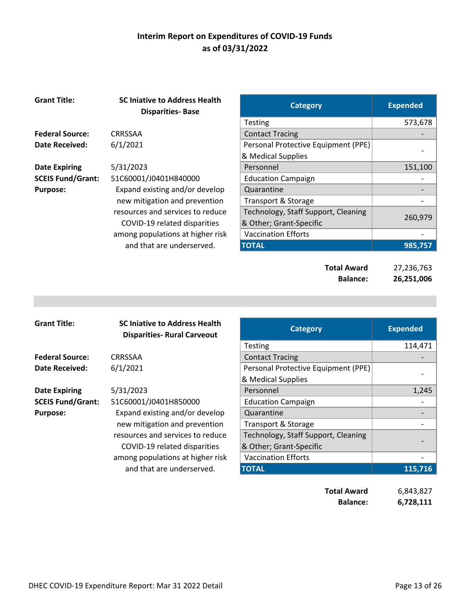| <b>Grant Title:</b>      | <b>SC Injative to Address Health</b><br><b>Disparities-Base</b> | <b>Category</b>                       | <b>Expended</b>          |
|--------------------------|-----------------------------------------------------------------|---------------------------------------|--------------------------|
|                          |                                                                 | <b>Testing</b>                        | 573,678                  |
| <b>Federal Source:</b>   | <b>CRRSSAA</b>                                                  | <b>Contact Tracing</b>                |                          |
| Date Received:           | 6/1/2021                                                        | Personal Protective Equipment (PPE)   |                          |
|                          |                                                                 | & Medical Supplies                    |                          |
| <b>Date Expiring</b>     | 5/31/2023                                                       | Personnel                             | 151,100                  |
| <b>SCEIS Fund/Grant:</b> | 51C60001/J0401H840000                                           | <b>Education Campaign</b>             |                          |
| <b>Purpose:</b>          | Expand existing and/or develop                                  | Quarantine                            |                          |
|                          | new mitigation and prevention                                   | Transport & Storage                   |                          |
|                          | resources and services to reduce                                | Technology, Staff Support, Cleaning   |                          |
|                          | COVID-19 related disparities                                    | & Other; Grant-Specific               | 260,979                  |
|                          | among populations at higher risk                                | <b>Vaccination Efforts</b>            |                          |
|                          | and that are underserved.                                       | <b>TOTAL</b>                          | 985,757                  |
|                          |                                                                 | <b>Total Award</b><br><b>Balance:</b> | 27,236,763<br>26,251,006 |

| <b>Grant Title:</b>      | <b>SC Injative to Address Health</b><br><b>Disparities- Rural Carveout</b> | <b>Category</b>                                           | <b>Expended</b> |
|--------------------------|----------------------------------------------------------------------------|-----------------------------------------------------------|-----------------|
|                          |                                                                            | <b>Testing</b>                                            | 114,471         |
| <b>Federal Source:</b>   | <b>CRRSSAA</b>                                                             | <b>Contact Tracing</b>                                    |                 |
| <b>Date Received:</b>    | 6/1/2021                                                                   | Personal Protective Equipment (PPE)<br>& Medical Supplies |                 |
| <b>Date Expiring</b>     | 5/31/2023                                                                  | Personnel                                                 | 1,245           |
| <b>SCEIS Fund/Grant:</b> | 51C60001/J0401H850000                                                      | <b>Education Campaign</b>                                 |                 |
| <b>Purpose:</b>          | Expand existing and/or develop                                             | Quarantine                                                |                 |
|                          | new mitigation and prevention                                              | Transport & Storage                                       |                 |
|                          | resources and services to reduce                                           | Technology, Staff Support, Cleaning                       |                 |
|                          | COVID-19 related disparities                                               | & Other; Grant-Specific                                   |                 |
|                          | among populations at higher risk                                           | <b>Vaccination Efforts</b>                                |                 |
|                          | and that are underserved.                                                  | <b>TOTAL</b>                                              | 115,716         |
|                          |                                                                            |                                                           |                 |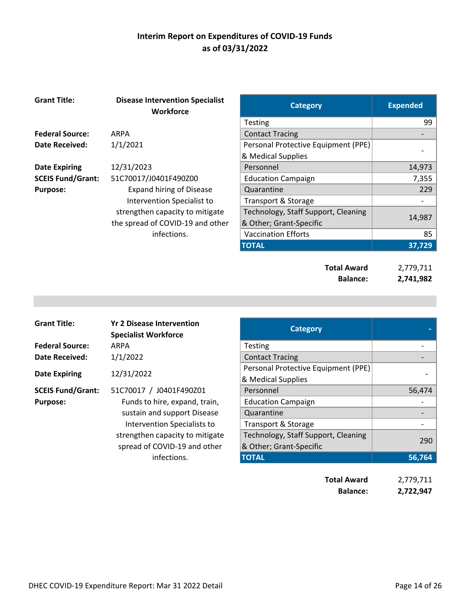| <b>Grant Title:</b>      | <b>Disease Intervention Specialist</b><br><b>Workforce</b> | <b>Category</b>                     | <b>Expended</b> |
|--------------------------|------------------------------------------------------------|-------------------------------------|-----------------|
|                          |                                                            | <b>Testing</b>                      | 99              |
| <b>Federal Source:</b>   | <b>ARPA</b>                                                | <b>Contact Tracing</b>              |                 |
| <b>Date Received:</b>    | 1/1/2021                                                   | Personal Protective Equipment (PPE) |                 |
|                          |                                                            | & Medical Supplies                  |                 |
| <b>Date Expiring</b>     | 12/31/2023                                                 | Personnel                           | 14,973          |
| <b>SCEIS Fund/Grant:</b> | 51C70017/J0401F490Z00                                      | <b>Education Campaign</b>           | 7,355           |
| <b>Purpose:</b>          | <b>Expand hiring of Disease</b>                            | Quarantine                          | 229             |
|                          | Intervention Specialist to                                 | Transport & Storage                 |                 |
|                          | strengthen capacity to mitigate                            | Technology, Staff Support, Cleaning |                 |
|                          | the spread of COVID-19 and other                           | & Other; Grant-Specific             | 14,987          |
|                          | infections.                                                | <b>Vaccination Efforts</b>          | 85              |
|                          |                                                            | <b>TOTAL</b>                        | 37,729          |
|                          |                                                            |                                     |                 |
|                          |                                                            | <b>Total Award</b>                  | 2,779,711       |
|                          |                                                            | <b>Balance:</b>                     | 2,741,982       |

| <b>Grant Title:</b>      | <b>Yr 2 Disease Intervention</b><br><b>Specialist Workforce</b> | <b>Category</b>                     |        |
|--------------------------|-----------------------------------------------------------------|-------------------------------------|--------|
| <b>Federal Source:</b>   | ARPA                                                            | <b>Testing</b>                      |        |
| <b>Date Received:</b>    | 1/1/2022                                                        | <b>Contact Tracing</b>              |        |
| <b>Date Expiring</b>     | 12/31/2022                                                      | Personal Protective Equipment (PPE) |        |
|                          |                                                                 | & Medical Supplies                  |        |
| <b>SCEIS Fund/Grant:</b> | 51C70017 / J0401F490Z01                                         | Personnel                           | 56,474 |
| <b>Purpose:</b>          | Funds to hire, expand, train,                                   | <b>Education Campaign</b>           |        |
|                          | sustain and support Disease                                     | Quarantine                          |        |
|                          | Intervention Specialists to                                     | Transport & Storage                 |        |
|                          | strengthen capacity to mitigate                                 | Technology, Staff Support, Cleaning | 290    |
|                          | spread of COVID-19 and other                                    | & Other; Grant-Specific             |        |
|                          | infections.                                                     | <b>TOTAL</b>                        | 56,764 |
|                          |                                                                 | .                                   |        |

**Total Award** 2,779,711 **Balance: 2,722,947**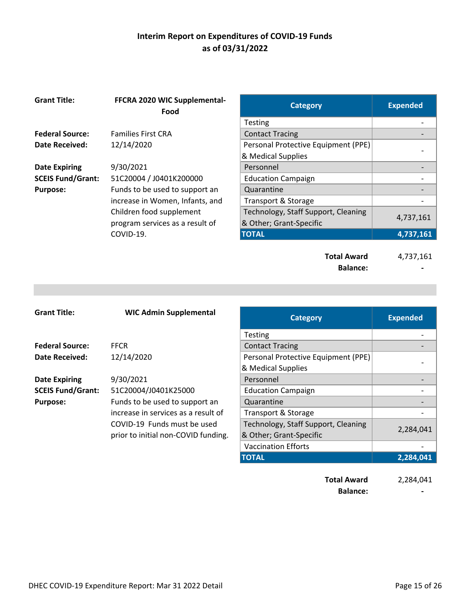| <b>Grant Title:</b>      | FFCRA 2020 WIC Supplemental-<br>Food | <b>Category</b>                     | <b>Expended</b> |
|--------------------------|--------------------------------------|-------------------------------------|-----------------|
|                          |                                      | <b>Testing</b>                      |                 |
| <b>Federal Source:</b>   | <b>Families First CRA</b>            | <b>Contact Tracing</b>              |                 |
| Date Received:           | 12/14/2020                           | Personal Protective Equipment (PPE) |                 |
|                          |                                      | & Medical Supplies                  |                 |
| <b>Date Expiring</b>     | 9/30/2021                            | Personnel                           |                 |
| <b>SCEIS Fund/Grant:</b> | 51C20004 / J0401K200000              | <b>Education Campaign</b>           |                 |
| <b>Purpose:</b>          | Funds to be used to support an       | Quarantine                          |                 |
|                          | increase in Women, Infants, and      | Transport & Storage                 |                 |
|                          | Children food supplement             | Technology, Staff Support, Cleaning |                 |
|                          | program services as a result of      | & Other; Grant-Specific             | 4,737,161       |
|                          | COVID-19.                            | <b>TOTAL</b>                        | 4,737,161       |
|                          |                                      | <b>Total Award</b>                  | 4,737,161       |

| <b>Grant Title:</b>      | <b>WIC Admin Supplemental</b>       | <b>Category</b>                     | <b>Expended</b> |
|--------------------------|-------------------------------------|-------------------------------------|-----------------|
|                          |                                     | <b>Testing</b>                      |                 |
| <b>Federal Source:</b>   | <b>FFCR</b>                         | <b>Contact Tracing</b>              |                 |
| Date Received:           | 12/14/2020                          | Personal Protective Equipment (PPE) |                 |
|                          |                                     | & Medical Supplies                  |                 |
| <b>Date Expiring</b>     | 9/30/2021                           | Personnel                           |                 |
| <b>SCEIS Fund/Grant:</b> | 51C20004/J0401K25000                | <b>Education Campaign</b>           |                 |
| <b>Purpose:</b>          | Funds to be used to support an      | Quarantine                          |                 |
|                          | increase in services as a result of | <b>Transport &amp; Storage</b>      |                 |
|                          | COVID-19 Funds must be used         | Technology, Staff Support, Cleaning |                 |
|                          | prior to initial non-COVID funding. | & Other; Grant-Specific             | 2,284,041       |
|                          |                                     | <b>Vaccination Efforts</b>          |                 |
|                          |                                     | <b>TOTAL</b>                        | 2,284,041       |

**Total Award** 2,284,041 **Balance: 1999** 

Balance: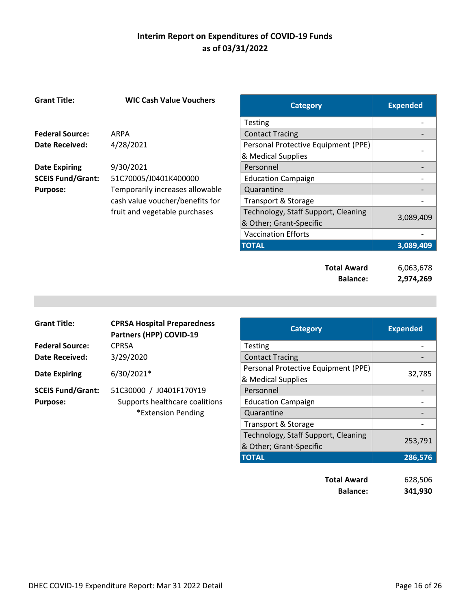| <b>Grant Title:</b>      | <b>WIC Cash Value Vouchers</b>  | <b>Category</b>                     | <b>Expended</b> |
|--------------------------|---------------------------------|-------------------------------------|-----------------|
|                          |                                 | <b>Testing</b>                      |                 |
| <b>Federal Source:</b>   | ARPA                            | <b>Contact Tracing</b>              |                 |
| Date Received:           | 4/28/2021                       | Personal Protective Equipment (PPE) |                 |
|                          |                                 | & Medical Supplies                  |                 |
| <b>Date Expiring</b>     | 9/30/2021                       | Personnel                           |                 |
| <b>SCEIS Fund/Grant:</b> | 51C70005/J0401K400000           | <b>Education Campaign</b>           |                 |
| <b>Purpose:</b>          | Temporarily increases allowable | Quarantine                          |                 |
|                          | cash value voucher/benefits for | <b>Transport &amp; Storage</b>      |                 |
|                          | fruit and vegetable purchases   | Technology, Staff Support, Cleaning |                 |
|                          |                                 | & Other; Grant-Specific             | 3,089,409       |
|                          |                                 | <b>Vaccination Efforts</b>          |                 |
|                          |                                 | <b>TOTAL</b>                        | 3,089,409       |
|                          |                                 |                                     |                 |
|                          |                                 | <b>Total Award</b>                  | 6,063,678       |
|                          |                                 | <b>Balance:</b>                     | 2,974,269       |

| <b>Grant Title:</b>      | <b>CPRSA Hospital Preparedness</b><br>Partners (HPP) COVID-19 | <b>Category</b>                                           | <b>Expended</b> |
|--------------------------|---------------------------------------------------------------|-----------------------------------------------------------|-----------------|
| <b>Federal Source:</b>   | <b>CPRSA</b>                                                  | <b>Testing</b>                                            |                 |
| <b>Date Received:</b>    | 3/29/2020                                                     | <b>Contact Tracing</b>                                    |                 |
| <b>Date Expiring</b>     | 6/30/2021*                                                    | Personal Protective Equipment (PPE)<br>& Medical Supplies | 32,785          |
| <b>SCEIS Fund/Grant:</b> | 51C30000 / J0401F170Y19                                       | Personnel                                                 |                 |
| <b>Purpose:</b>          | Supports healthcare coalitions                                | <b>Education Campaign</b>                                 |                 |
|                          | *Extension Pending                                            | Quarantine                                                |                 |
|                          |                                                               | Transport & Storage                                       |                 |
|                          |                                                               | Technology, Staff Support, Cleaning                       | 253,791         |
|                          |                                                               | & Other; Grant-Specific                                   |                 |
|                          |                                                               | <b>TOTAL</b>                                              | 286,576         |

| <b>Total Award</b> | 628,506 |
|--------------------|---------|
| <b>Balance:</b>    | 341,930 |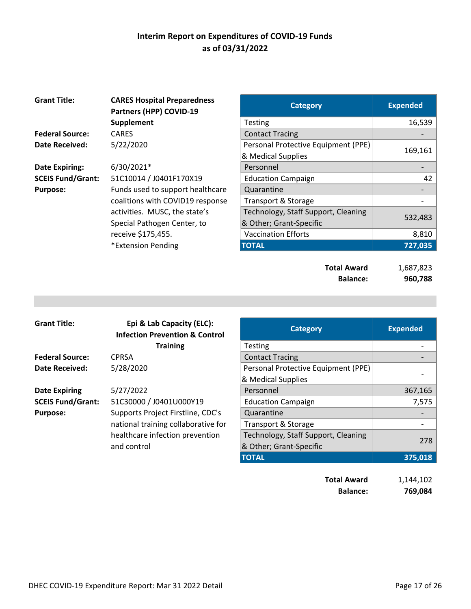| <b>Grant Title:</b>      | <b>CARES Hospital Preparedness</b><br>Partners (HPP) COVID-19 | <b>Category</b>                     | <b>Expended</b> |
|--------------------------|---------------------------------------------------------------|-------------------------------------|-----------------|
|                          | Supplement                                                    | Testing                             | 16,539          |
| <b>Federal Source:</b>   | <b>CARES</b>                                                  | <b>Contact Tracing</b>              |                 |
| <b>Date Received:</b>    | 5/22/2020                                                     | Personal Protective Equipment (PPE) |                 |
|                          |                                                               | & Medical Supplies                  | 169,161         |
| <b>Date Expiring:</b>    | 6/30/2021*                                                    | Personnel                           |                 |
| <b>SCEIS Fund/Grant:</b> | 51C10014 / J0401F170X19                                       | <b>Education Campaign</b>           | 42              |
| <b>Purpose:</b>          | Funds used to support healthcare                              | Quarantine                          |                 |
|                          | coalitions with COVID19 response                              | Transport & Storage                 |                 |
|                          | activities. MUSC, the state's                                 | Technology, Staff Support, Cleaning | 532,483         |
|                          | Special Pathogen Center, to                                   | & Other; Grant-Specific             |                 |
|                          | receive \$175,455.                                            | <b>Vaccination Efforts</b>          | 8,810           |
|                          | *Extension Pending                                            | <b>TOTAL</b>                        | 727,035         |
|                          |                                                               |                                     |                 |
|                          |                                                               | <b>Total Award</b>                  | 1,687,823       |
|                          |                                                               | <b>Balance:</b>                     | 960,788         |

| <b>Grant Title:</b>      | Epi & Lab Capacity (ELC):<br><b>Infection Prevention &amp; Control</b> | <b>Category</b>                     | <b>Expended</b> |
|--------------------------|------------------------------------------------------------------------|-------------------------------------|-----------------|
|                          | <b>Training</b>                                                        | <b>Testing</b>                      |                 |
| <b>Federal Source:</b>   | <b>CPRSA</b>                                                           | <b>Contact Tracing</b>              |                 |
| Date Received:           | 5/28/2020                                                              | Personal Protective Equipment (PPE) |                 |
|                          |                                                                        | & Medical Supplies                  |                 |
| <b>Date Expiring</b>     | 5/27/2022                                                              | Personnel                           | 367,165         |
| <b>SCEIS Fund/Grant:</b> | 51C30000 / J0401U000Y19                                                | <b>Education Campaign</b>           | 7,575           |
| <b>Purpose:</b>          | Supports Project Firstline, CDC's                                      | Quarantine                          |                 |
|                          | national training collaborative for                                    | Transport & Storage                 |                 |
|                          | healthcare infection prevention                                        | Technology, Staff Support, Cleaning |                 |
|                          | and control                                                            | & Other; Grant-Specific             | 278             |
|                          |                                                                        | <b>TOTAL</b>                        | 375,018         |
|                          |                                                                        |                                     |                 |

**Total Award** 1,144,102 **Balance: 769,084**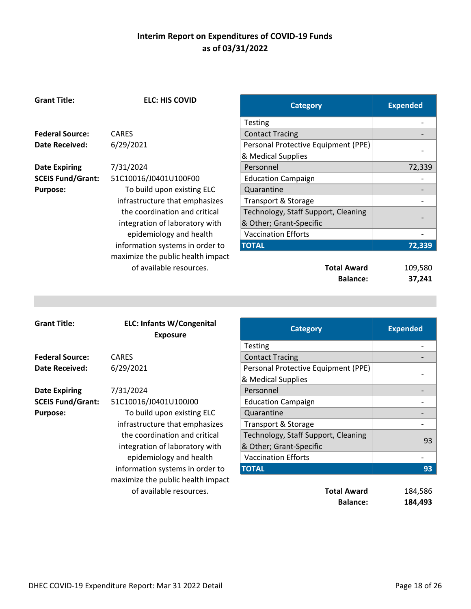**ELC: HIS COVID Category Category Expended** 

|                          |                                                              | Testing                                                    |                 |
|--------------------------|--------------------------------------------------------------|------------------------------------------------------------|-----------------|
| <b>Federal Source:</b>   | <b>CARES</b>                                                 | <b>Contact Tracing</b>                                     |                 |
| <b>Date Received:</b>    | 6/29/2021                                                    | Personal Protective Equipment (PPE)                        |                 |
|                          |                                                              | & Medical Supplies                                         |                 |
| <b>Date Expiring</b>     | 7/31/2024                                                    | Personnel                                                  | 72,339          |
| <b>SCEIS Fund/Grant:</b> | 51C10016/J0401U100F00                                        | <b>Education Campaign</b>                                  |                 |
| <b>Purpose:</b>          | To build upon existing ELC                                   | Quarantine                                                 |                 |
|                          | infrastructure that emphasizes                               | <b>Transport &amp; Storage</b>                             |                 |
|                          | the coordination and critical                                | Technology, Staff Support, Cleaning                        |                 |
|                          | integration of laboratory with                               | & Other; Grant-Specific                                    |                 |
|                          | epidemiology and health                                      | <b>Vaccination Efforts</b>                                 |                 |
|                          | information systems in order to                              | <b>TOTAL</b>                                               | 72,339          |
|                          | maximize the public health impact                            |                                                            |                 |
|                          | of available resources.                                      | <b>Total Award</b>                                         | 109,580         |
|                          |                                                              | <b>Balance:</b>                                            | 37,241          |
|                          |                                                              |                                                            |                 |
|                          |                                                              |                                                            |                 |
|                          |                                                              |                                                            |                 |
|                          |                                                              |                                                            |                 |
| <b>Grant Title:</b>      | <b>ELC: Infants W/Congenital</b>                             |                                                            |                 |
|                          | <b>Exposure</b>                                              | <b>Category</b>                                            | <b>Expended</b> |
|                          |                                                              | Testing                                                    |                 |
| <b>Federal Source:</b>   | <b>CARES</b>                                                 | <b>Contact Tracing</b>                                     |                 |
| <b>Date Received:</b>    | 6/29/2021                                                    | Personal Protective Equipment (PPE)                        |                 |
|                          |                                                              | & Medical Supplies                                         |                 |
| <b>Date Expiring</b>     | 7/31/2024                                                    | Personnel                                                  |                 |
| <b>SCEIS Fund/Grant:</b> | 51C10016/J0401U100J00                                        | <b>Education Campaign</b>                                  |                 |
| <b>Purpose:</b>          |                                                              | Quarantine                                                 |                 |
|                          | To build upon existing ELC<br>infrastructure that emphasizes |                                                            |                 |
|                          | the coordination and critical                                | Transport & Storage<br>Technology, Staff Support, Cleaning |                 |
|                          |                                                              | & Other; Grant-Specific                                    | 93              |
|                          | integration of laboratory with<br>epidemiology and health    | <b>Vaccination Efforts</b>                                 |                 |
|                          | information systems in order to                              | <b>TOTAL</b>                                               | 93              |
|                          | maximize the public health impact                            |                                                            |                 |
|                          | of available resources.                                      | <b>Total Award</b>                                         | 184,586         |

**Grant Title:**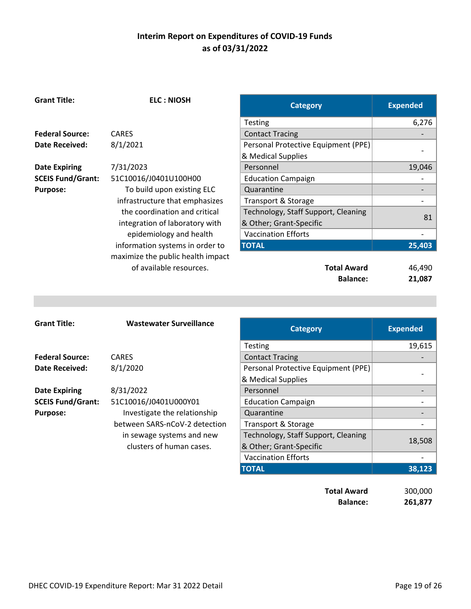| <b>Grant Title:</b>      | <b>ELC: NIOSH</b>                 | <b>Category</b>                     | <b>Expended</b> |
|--------------------------|-----------------------------------|-------------------------------------|-----------------|
|                          |                                   | Testing                             | 6,276           |
| <b>Federal Source:</b>   | <b>CARES</b>                      | <b>Contact Tracing</b>              |                 |
| Date Received:           | 8/1/2021                          | Personal Protective Equipment (PPE) |                 |
|                          |                                   | & Medical Supplies                  |                 |
| <b>Date Expiring</b>     | 7/31/2023                         | Personnel                           | 19,046          |
| <b>SCEIS Fund/Grant:</b> | 51C10016/J0401U100H00             | <b>Education Campaign</b>           |                 |
| <b>Purpose:</b>          | To build upon existing ELC        | Quarantine                          |                 |
|                          | infrastructure that emphasizes    | <b>Transport &amp; Storage</b>      |                 |
|                          | the coordination and critical     | Technology, Staff Support, Cleaning |                 |
|                          | integration of laboratory with    | & Other; Grant-Specific             | 81              |
|                          | epidemiology and health           | <b>Vaccination Efforts</b>          |                 |
|                          | information systems in order to   | <b>TOTAL</b>                        | 25,403          |
|                          | maximize the public health impact |                                     |                 |
|                          | of available resources.           | <b>Total Award</b>                  | 46,490          |
|                          |                                   | <b>Balance:</b>                     | 21,087          |
|                          |                                   |                                     |                 |
|                          |                                   |                                     |                 |
|                          |                                   |                                     |                 |
| <b>Grant Title:</b>      | <b>Wastewater Surveillance</b>    | <b>Category</b>                     | <b>Expended</b> |
|                          |                                   |                                     |                 |

| <b>Grant Title:</b>      | <b>Wastewater Surveillance</b> | <b>Category</b>                     | <b>Expended</b> |
|--------------------------|--------------------------------|-------------------------------------|-----------------|
|                          |                                | <b>Testing</b>                      | 19,615          |
| <b>Federal Source:</b>   | <b>CARES</b>                   | <b>Contact Tracing</b>              |                 |
| <b>Date Received:</b>    | 8/1/2020                       | Personal Protective Equipment (PPE) |                 |
|                          |                                | & Medical Supplies                  |                 |
| <b>Date Expiring</b>     | 8/31/2022                      | Personnel                           |                 |
| <b>SCEIS Fund/Grant:</b> | 51C10016/J0401U000Y01          | <b>Education Campaign</b>           |                 |
| <b>Purpose:</b>          | Investigate the relationship   | Quarantine                          |                 |
|                          | between SARS-nCoV-2 detection  | Transport & Storage                 |                 |
|                          | in sewage systems and new      | Technology, Staff Support, Cleaning |                 |
|                          | clusters of human cases.       | & Other; Grant-Specific             | 18,508          |
|                          |                                | <b>Vaccination Efforts</b>          |                 |
|                          |                                | <b>TOTAL</b>                        | 38,123          |
|                          |                                |                                     |                 |
|                          |                                | <b>Total Award</b>                  | 300,000         |

**Balance: 261,877**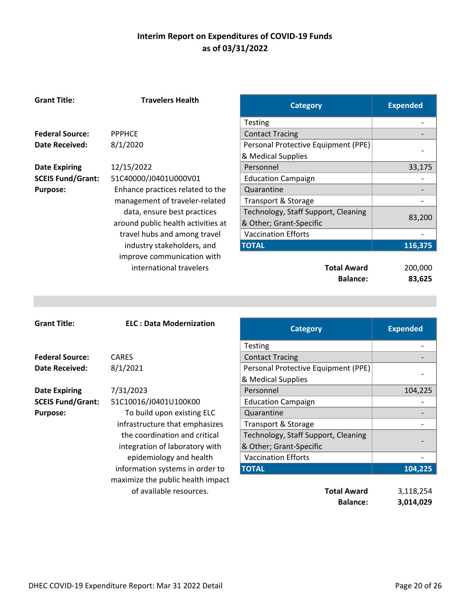**Travelers Health** 

|                          |                                    | <b>Category</b>                       | expenaea                     |
|--------------------------|------------------------------------|---------------------------------------|------------------------------|
|                          |                                    | Testing                               |                              |
| <b>Federal Source:</b>   | <b>PPPHCE</b>                      | <b>Contact Tracing</b>                |                              |
| Date Received:           | 8/1/2020                           | Personal Protective Equipment (PPE)   |                              |
|                          |                                    | & Medical Supplies                    |                              |
| <b>Date Expiring</b>     | 12/15/2022                         | Personnel                             | 33,175                       |
| <b>SCEIS Fund/Grant:</b> | 51C40000/J0401U000V01              | <b>Education Campaign</b>             |                              |
| <b>Purpose:</b>          | Enhance practices related to the   | Quarantine                            |                              |
|                          | management of traveler-related     | Transport & Storage                   |                              |
|                          | data, ensure best practices        | Technology, Staff Support, Cleaning   | 83,200                       |
|                          | around public health activities at | & Other; Grant-Specific               |                              |
|                          | travel hubs and among travel       | <b>Vaccination Efforts</b>            |                              |
|                          | industry stakeholders, and         | <b>TOTAL</b>                          | 116,375                      |
|                          | improve communication with         |                                       |                              |
|                          | international travelers            | <b>Total Award</b>                    | 200,000                      |
|                          |                                    | <b>Balance:</b>                       | 83,625                       |
|                          |                                    |                                       |                              |
|                          |                                    |                                       |                              |
|                          |                                    |                                       |                              |
|                          |                                    |                                       |                              |
| <b>Grant Title:</b>      | <b>ELC: Data Modernization</b>     | <b>Category</b>                       | <b>Expended</b>              |
|                          |                                    |                                       |                              |
|                          |                                    | Testing                               |                              |
| <b>Federal Source:</b>   | <b>CARES</b>                       | <b>Contact Tracing</b>                |                              |
| <b>Date Received:</b>    | 8/1/2021                           | Personal Protective Equipment (PPE)   |                              |
|                          |                                    | & Medical Supplies                    |                              |
| <b>Date Expiring</b>     | 7/31/2023                          | Personnel                             | 104,225                      |
| <b>SCEIS Fund/Grant:</b> | 51C10016/J0401U100K00              | <b>Education Campaign</b>             |                              |
| <b>Purpose:</b>          | To build upon existing ELC         | Quarantine                            | $\qquad \qquad \blacksquare$ |
|                          | infrastructure that emphasizes     | Transport & Storage                   | $\overline{\phantom{0}}$     |
|                          | the coordination and critical      | Technology, Staff Support, Cleaning   |                              |
|                          | integration of laboratory with     | & Other; Grant-Specific               |                              |
|                          | epidemiology and health            | <b>Vaccination Efforts</b>            |                              |
|                          | information systems in order to    | <b>TOTAL</b>                          | 104,225                      |
|                          | maximize the public health impact  |                                       |                              |
|                          | of available resources.            | <b>Total Award</b><br><b>Balance:</b> | 3,118,254<br>3,014,029       |

**Grant Title:**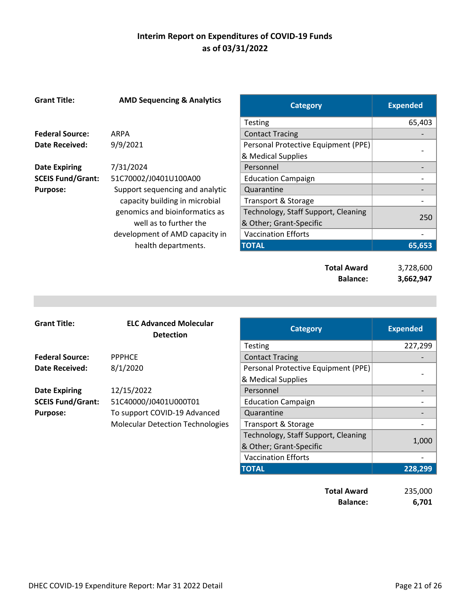| <b>Grant Title:</b>      | <b>AMD Sequencing &amp; Analytics</b> | <b>Category</b>                     | <b>Expended</b> |
|--------------------------|---------------------------------------|-------------------------------------|-----------------|
|                          |                                       | Testing                             | 65,403          |
| <b>Federal Source:</b>   | ARPA                                  | <b>Contact Tracing</b>              |                 |
| Date Received:           | 9/9/2021                              | Personal Protective Equipment (PPE) |                 |
|                          |                                       | & Medical Supplies                  |                 |
| <b>Date Expiring</b>     | 7/31/2024                             | Personnel                           |                 |
| <b>SCEIS Fund/Grant:</b> | 51C70002/J0401U100A00                 | <b>Education Campaign</b>           |                 |
| <b>Purpose:</b>          | Support sequencing and analytic       | Quarantine                          |                 |
|                          | capacity building in microbial        | Transport & Storage                 |                 |
|                          | genomics and bioinformatics as        | Technology, Staff Support, Cleaning | 250             |
|                          | well as to further the                | & Other; Grant-Specific             |                 |
|                          | development of AMD capacity in        | <b>Vaccination Efforts</b>          |                 |
|                          | health departments.                   | <b>TOTAL</b>                        | 65,653          |
|                          |                                       |                                     |                 |
|                          |                                       | <b>Total Award</b>                  | 3,728,600       |
|                          |                                       | <b>Balance:</b>                     | 3,662,947       |

| <b>Grant Title:</b>      | <b>ELC Advanced Molecular</b><br><b>Detection</b> | <b>Category</b>                     | <b>Expended</b> |
|--------------------------|---------------------------------------------------|-------------------------------------|-----------------|
|                          |                                                   | Testing                             | 227,299         |
| <b>Federal Source:</b>   | <b>PPPHCE</b>                                     | <b>Contact Tracing</b>              |                 |
| Date Received:           | 8/1/2020                                          | Personal Protective Equipment (PPE) |                 |
|                          |                                                   | & Medical Supplies                  |                 |
| <b>Date Expiring</b>     | 12/15/2022                                        | Personnel                           |                 |
| <b>SCEIS Fund/Grant:</b> | 51C40000/J0401U000T01                             | <b>Education Campaign</b>           |                 |
| <b>Purpose:</b>          | To support COVID-19 Advanced                      | Quarantine                          |                 |
|                          | <b>Molecular Detection Technologies</b>           | Transport & Storage                 |                 |
|                          |                                                   | Technology, Staff Support, Cleaning |                 |
|                          |                                                   | & Other; Grant-Specific             | 1,000           |
|                          |                                                   | <b>Vaccination Efforts</b>          |                 |
|                          |                                                   | <b>TOTAL</b>                        | 228,299         |

| <b>Total Award</b> | 235,000 |
|--------------------|---------|
| <b>Balance:</b>    | 6,701   |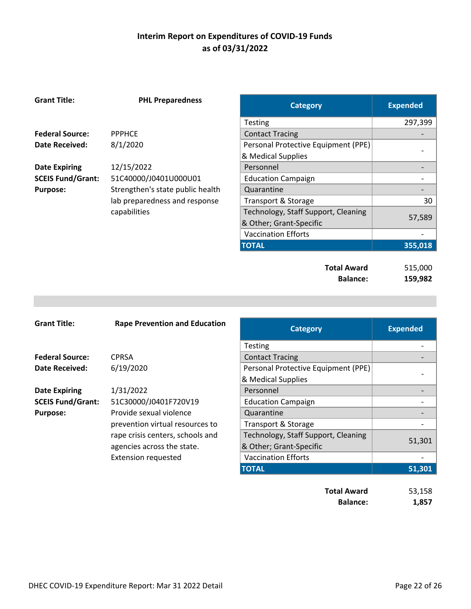| <b>Grant Title:</b>      | <b>PHL Preparedness</b>          | <b>Category</b>                                                | <b>Expended</b>    |
|--------------------------|----------------------------------|----------------------------------------------------------------|--------------------|
|                          |                                  | <b>Testing</b>                                                 | 297,399            |
| <b>Federal Source:</b>   | <b>PPPHCE</b>                    | <b>Contact Tracing</b>                                         |                    |
| <b>Date Received:</b>    | 8/1/2020                         | Personal Protective Equipment (PPE)                            |                    |
|                          |                                  | & Medical Supplies                                             |                    |
| <b>Date Expiring</b>     | 12/15/2022                       | Personnel                                                      |                    |
| <b>SCEIS Fund/Grant:</b> | 51C40000/J0401U000U01            | <b>Education Campaign</b>                                      |                    |
| <b>Purpose:</b>          | Strengthen's state public health | Quarantine                                                     |                    |
|                          | lab preparedness and response    | Transport & Storage                                            | 30                 |
|                          | capabilities                     | Technology, Staff Support, Cleaning<br>& Other; Grant-Specific | 57,589             |
|                          |                                  | <b>Vaccination Efforts</b>                                     |                    |
|                          |                                  | <b>TOTAL</b>                                                   | 355,018            |
|                          |                                  | <b>Total Award</b><br><b>Balance:</b>                          | 515,000<br>159,982 |

| <b>Grant Title:</b>      | <b>Rape Prevention and Education</b> | <b>Category</b>                     | <b>Expended</b> |
|--------------------------|--------------------------------------|-------------------------------------|-----------------|
|                          |                                      | <b>Testing</b>                      |                 |
| <b>Federal Source:</b>   | <b>CPRSA</b>                         | <b>Contact Tracing</b>              |                 |
| <b>Date Received:</b>    | 6/19/2020                            | Personal Protective Equipment (PPE) |                 |
|                          |                                      | & Medical Supplies                  |                 |
| <b>Date Expiring</b>     | 1/31/2022                            | Personnel                           |                 |
| <b>SCEIS Fund/Grant:</b> | 51C30000/J0401F720V19                | <b>Education Campaign</b>           |                 |
| <b>Purpose:</b>          | Provide sexual violence              | Quarantine                          |                 |
|                          | prevention virtual resources to      | Transport & Storage                 |                 |
|                          | rape crisis centers, schools and     | Technology, Staff Support, Cleaning |                 |
|                          | agencies across the state.           | & Other; Grant-Specific             | 51,301          |
|                          | <b>Extension requested</b>           | <b>Vaccination Efforts</b>          |                 |
|                          |                                      | <b>TOTAL</b>                        | 51,301          |
|                          |                                      | <b>Total Award</b>                  | 53,158          |

**Balance: 1,857**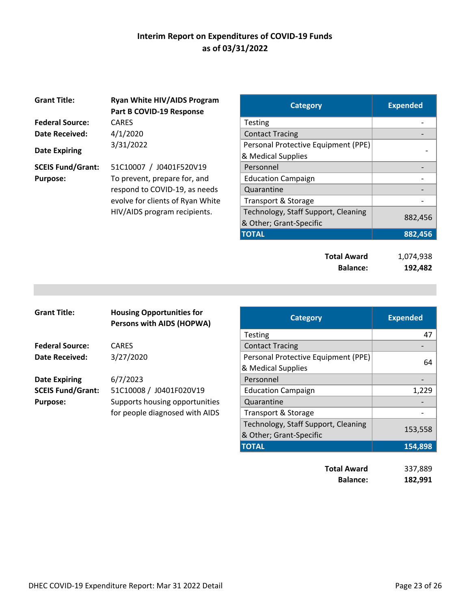| <b>Grant Title:</b>      | <b>Ryan White HIV/AIDS Program</b><br>Part B COVID-19 Response | <b>Category</b>                     | <b>Expended</b> |
|--------------------------|----------------------------------------------------------------|-------------------------------------|-----------------|
| <b>Federal Source:</b>   | <b>CARES</b>                                                   | Testing                             |                 |
| <b>Date Received:</b>    | 4/1/2020                                                       | <b>Contact Tracing</b>              |                 |
|                          | 3/31/2022                                                      | Personal Protective Equipment (PPE) |                 |
| <b>Date Expiring</b>     |                                                                | & Medical Supplies                  |                 |
| <b>SCEIS Fund/Grant:</b> | 51C10007 / J0401F520V19                                        | Personnel                           |                 |
| <b>Purpose:</b>          | To prevent, prepare for, and                                   | <b>Education Campaign</b>           |                 |
|                          | respond to COVID-19, as needs                                  | Quarantine                          |                 |
|                          | evolve for clients of Ryan White                               | Transport & Storage                 |                 |
|                          | HIV/AIDS program recipients.                                   | Technology, Staff Support, Cleaning |                 |
|                          |                                                                | 0 Othor: Cront Cnooific             | 882,4           |

| <b>Ryan White HIV/AIDS Program</b><br>Part B COVID-19 Response | <b>Category</b>                     | <b>Expended</b> |
|----------------------------------------------------------------|-------------------------------------|-----------------|
| CARES                                                          | <b>Testing</b>                      |                 |
| 4/1/2020                                                       | <b>Contact Tracing</b>              |                 |
| 3/31/2022                                                      | Personal Protective Equipment (PPE) |                 |
|                                                                | & Medical Supplies                  |                 |
| 51C10007 / J0401F520V19                                        | Personnel                           |                 |
| To prevent, prepare for, and                                   | <b>Education Campaign</b>           |                 |
| respond to COVID-19, as needs                                  | Quarantine                          |                 |
| evolve for clients of Ryan White                               | Transport & Storage                 |                 |
| HIV/AIDS program recipients.                                   | Technology, Staff Support, Cleaning |                 |
|                                                                | & Other; Grant-Specific             | 882,456         |
|                                                                | <b>TOTAL</b>                        | 882,456         |
|                                                                |                                     |                 |

| <b>Total Award</b> | 1,074,938 |
|--------------------|-----------|
| <b>Balance:</b>    | 192,482   |

| <b>Grant Title:</b>      | <b>Housing Opportunities for</b><br><b>Persons with AIDS (HOPWA)</b> | <b>Category</b>                     |
|--------------------------|----------------------------------------------------------------------|-------------------------------------|
|                          |                                                                      | <b>Testing</b>                      |
| <b>Federal Source:</b>   | <b>CARES</b>                                                         | <b>Contact Tracing</b>              |
| Date Received:           | 3/27/2020                                                            | Personal Protective Equipment (PPE) |
|                          |                                                                      | & Medical Supplies                  |
| <b>Date Expiring</b>     | 6/7/2023                                                             | Personnel                           |
| <b>SCEIS Fund/Grant:</b> | 51C10008 / J0401F020V19                                              | <b>Education Campaign</b>           |
| <b>Purpose:</b>          | Supports housing opportunities                                       | Quarantine                          |
|                          | for people diagnosed with AIDS                                       | Transport & Storage                 |
|                          |                                                                      | Technology, Staff Support, Cleaning |
|                          |                                                                      | $0.01$ $0.001$                      |

| <b>Grant Title:</b>      | <b>Housing Opportunities for</b><br><b>Persons with AIDS (HOPWA)</b> | <b>Category</b>                     | <b>Expended</b> |
|--------------------------|----------------------------------------------------------------------|-------------------------------------|-----------------|
|                          |                                                                      | <b>Testing</b>                      | 47              |
| <b>Federal Source:</b>   | <b>CARES</b>                                                         | <b>Contact Tracing</b>              |                 |
| <b>Date Received:</b>    | 3/27/2020                                                            | Personal Protective Equipment (PPE) |                 |
|                          |                                                                      | & Medical Supplies                  | 64              |
| <b>Date Expiring</b>     | 6/7/2023                                                             | Personnel                           |                 |
| <b>SCEIS Fund/Grant:</b> | 51C10008 / J0401F020V19                                              | <b>Education Campaign</b>           | 1,229           |
| <b>Purpose:</b>          | Supports housing opportunities                                       | Quarantine                          |                 |
|                          | for people diagnosed with AIDS                                       | Transport & Storage                 |                 |
|                          |                                                                      | Technology, Staff Support, Cleaning |                 |
|                          |                                                                      | & Other; Grant-Specific             | 153,558         |
|                          |                                                                      | <b>TOTAL</b>                        | 154,898         |
|                          |                                                                      |                                     |                 |
|                          |                                                                      | <b>Total Award</b>                  | 337,889         |
|                          |                                                                      | <b>Balance:</b>                     | 182,991         |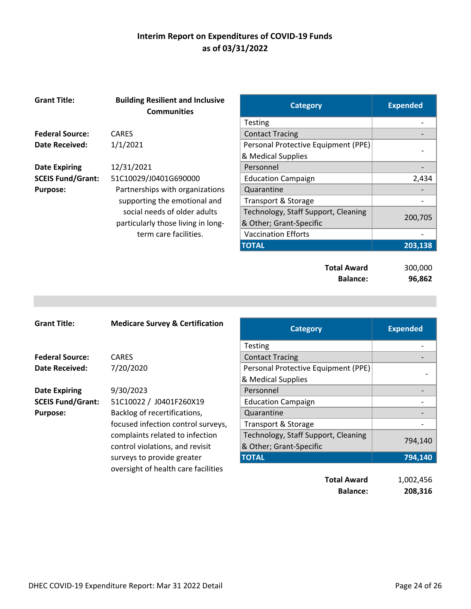| <b>Grant Title:</b>      | <b>Building Resilient and Inclusive</b><br><b>Communities</b> | <b>Category</b>                     | <b>Expended</b> |
|--------------------------|---------------------------------------------------------------|-------------------------------------|-----------------|
|                          |                                                               | <b>Testing</b>                      |                 |
| <b>Federal Source:</b>   | <b>CARES</b>                                                  | <b>Contact Tracing</b>              |                 |
| <b>Date Received:</b>    | 1/1/2021                                                      | Personal Protective Equipment (PPE) |                 |
|                          |                                                               | & Medical Supplies                  |                 |
| <b>Date Expiring</b>     | 12/31/2021                                                    | Personnel                           |                 |
| <b>SCEIS Fund/Grant:</b> | 51C10029/J0401G690000                                         | <b>Education Campaign</b>           | 2,434           |
| <b>Purpose:</b>          | Partnerships with organizations                               | Quarantine                          |                 |
|                          | supporting the emotional and                                  | Transport & Storage                 |                 |
|                          | social needs of older adults                                  | Technology, Staff Support, Cleaning |                 |
|                          | particularly those living in long-                            | & Other; Grant-Specific             | 200,705         |
|                          | term care facilities.                                         | <b>Vaccination Efforts</b>          |                 |
|                          |                                                               | <b>TOTAL</b>                        | 203,138         |
|                          |                                                               |                                     |                 |
|                          |                                                               | <b>Total Award</b>                  | 300,000         |
|                          |                                                               | <b>Balance:</b>                     | 96,862          |

| <b>Grant Title:</b>      | <b>Medicare Survey &amp; Certification</b> | <b>Category</b>                     | <b>Expended</b> |
|--------------------------|--------------------------------------------|-------------------------------------|-----------------|
|                          |                                            | <b>Testing</b>                      |                 |
| <b>Federal Source:</b>   | <b>CARES</b>                               | <b>Contact Tracing</b>              |                 |
| <b>Date Received:</b>    | 7/20/2020                                  | Personal Protective Equipment (PPE) |                 |
|                          |                                            | & Medical Supplies                  |                 |
| <b>Date Expiring</b>     | 9/30/2023                                  | Personnel                           |                 |
| <b>SCEIS Fund/Grant:</b> | 51C10022 / J0401F260X19                    | <b>Education Campaign</b>           |                 |
| <b>Purpose:</b>          | Backlog of recertifications,               | Quarantine                          |                 |
|                          | focused infection control surveys,         | Transport & Storage                 |                 |
|                          | complaints related to infection            | Technology, Staff Support, Cleaning |                 |
|                          | control violations, and revisit            | & Other; Grant-Specific             | 794,140         |
|                          | surveys to provide greater                 | <b>TOTAL</b>                        | 794,140         |
|                          | oversight of health care facilities        |                                     |                 |
|                          |                                            | <b>Total Award</b>                  | 1,002,456       |
|                          |                                            | <b>Balance:</b>                     | 208,316         |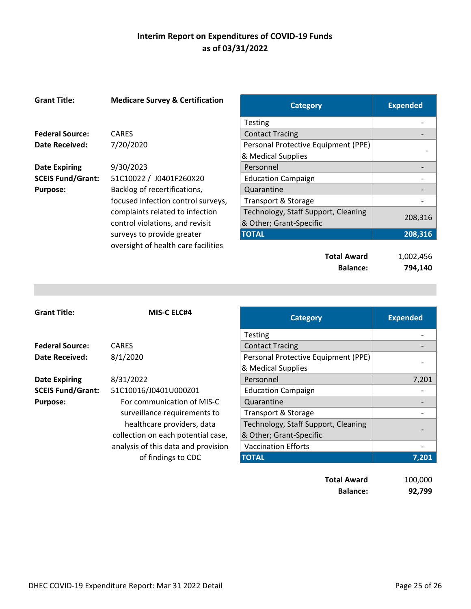| <b>Grant Title:</b>      | <b>Medicare Survey &amp; Certification</b> | <b>Category</b>                     | <b>Expended</b> |
|--------------------------|--------------------------------------------|-------------------------------------|-----------------|
|                          |                                            | Testing                             |                 |
| <b>Federal Source:</b>   | <b>CARES</b>                               | <b>Contact Tracing</b>              |                 |
| <b>Date Received:</b>    | 7/20/2020                                  | Personal Protective Equipment (PPE) |                 |
|                          |                                            | & Medical Supplies                  |                 |
| <b>Date Expiring</b>     | 9/30/2023                                  | Personnel                           |                 |
| <b>SCEIS Fund/Grant:</b> | 51C10022 / J0401F260X20                    | <b>Education Campaign</b>           |                 |
| <b>Purpose:</b>          | Backlog of recertifications,               | Quarantine                          |                 |
|                          | focused infection control surveys,         | Transport & Storage                 |                 |
|                          | complaints related to infection            | Technology, Staff Support, Cleaning |                 |
|                          | control violations, and revisit            | & Other; Grant-Specific             | 208,316         |
|                          | surveys to provide greater                 | <b>TOTAL</b>                        | 208,316         |
|                          | oversight of health care facilities        |                                     |                 |
|                          |                                            | <b>Total Award</b>                  | 1,002,456       |
|                          |                                            | <b>Balance:</b>                     | 794,140         |

| <b>Grant Title:</b>      | <b>MIS-C ELC#4</b>                  | <b>Category</b>                     | <b>Expended</b> |
|--------------------------|-------------------------------------|-------------------------------------|-----------------|
|                          |                                     | <b>Testing</b>                      |                 |
| <b>Federal Source:</b>   | <b>CARES</b>                        | <b>Contact Tracing</b>              |                 |
| Date Received:           | 8/1/2020                            | Personal Protective Equipment (PPE) |                 |
|                          |                                     | & Medical Supplies                  |                 |
| <b>Date Expiring</b>     | 8/31/2022                           | Personnel                           | 7,201           |
| <b>SCEIS Fund/Grant:</b> | 51C10016/J0401U000Z01               | <b>Education Campaign</b>           |                 |
| <b>Purpose:</b>          | For communication of MIS-C          | Quarantine                          |                 |
|                          | surveillance requirements to        | Transport & Storage                 |                 |
|                          | healthcare providers, data          | Technology, Staff Support, Cleaning |                 |
|                          | collection on each potential case,  | & Other; Grant-Specific             |                 |
|                          | analysis of this data and provision | <b>Vaccination Efforts</b>          |                 |
|                          | of findings to CDC                  | <b>TOTAL</b>                        | 7,201           |

**Total Award** 100,000 **Balance:** 92,799